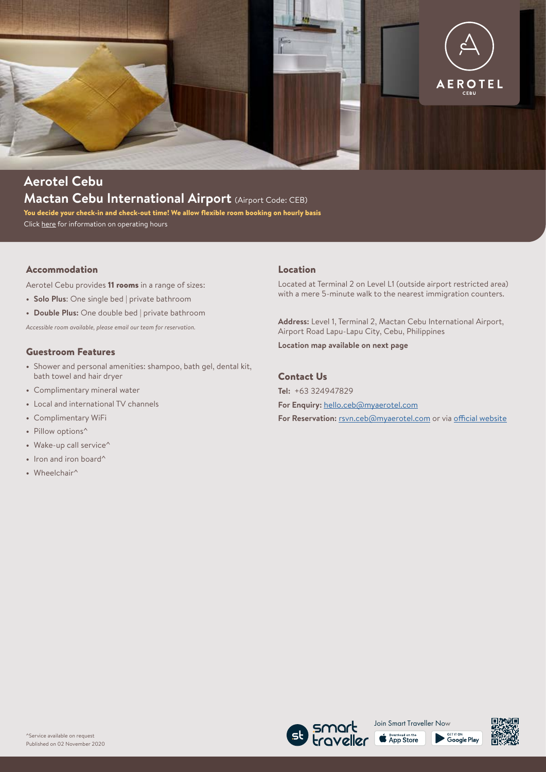

# **Aerotel Cebu Mactan Cebu International Airport** (Airport Code: CEB)

You decide your check-in and check-out time! We allow flexible room booking on hourly basis Click [here](https://www.myaerotel.com/en-uk/find/asia-pacific/philippines/cebu/aerotel-cebu) for information on operating hours

## Accommodation

Aerotel Cebu provides 11 rooms in a range of sizes:

- **• Solo Plus**: One single bed | private bathroom
- **• Double Plus:** One double bed | private bathroom

*Accessible room available, please email our team for reservation.*

#### Guestroom Features

- **•** Shower and personal amenities: shampoo, bath gel, dental kit, bath towel and hair dryer
- **•** Complimentary mineral water
- **•** Local and international TV channels
- **•** Complimentary WiFi
- **•** Pillow options^
- **•** Wake-up call service^
- **•** Iron and iron board^
- **•** Wheelchair^

#### Location

Located at Terminal 2 on Level L1 (outside airport restricted area) with a mere 5-minute walk to the nearest immigration counters.

**Address:** Level 1, Terminal 2, Mactan Cebu International Airport, Airport Road Lapu-Lapu City, Cebu, Philippines

**Location map available on next page**

### Contact Us

**Tel:** +63 324947829 **For Enquiry:** [hello.ceb@myaerotel.com](mailto:hello.ceb%40myaerotel.com?subject=) For Reservation: [rsvn.ceb@myaerotel.com](mailto:rsvn.ceb%40myaerotel.com?subject=) or via [official website](https://www.myaerotel.com/en-uk/find/asia-pacific/philippines/cebu/aerotel-cebu)